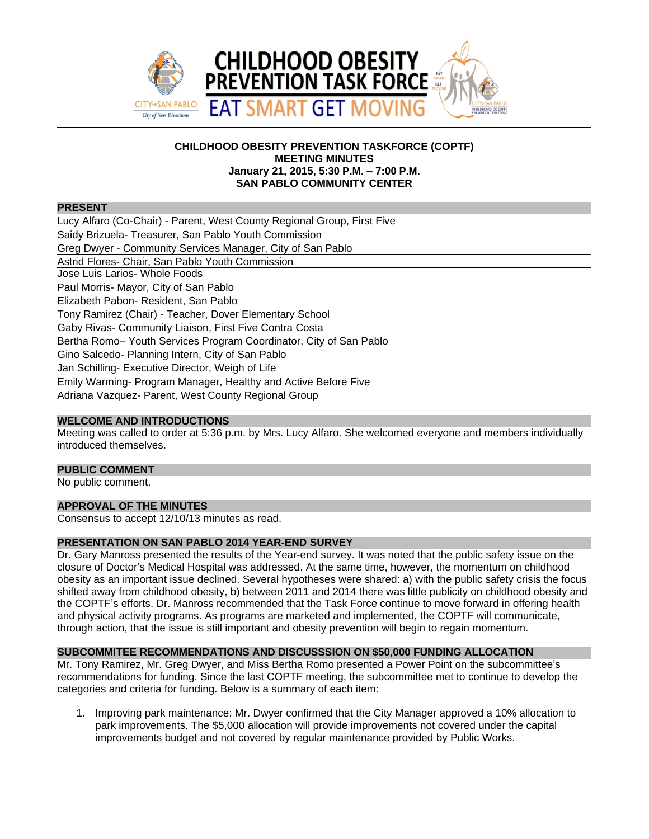

### **CHILDHOOD OBESITY PREVENTION TASKFORCE (COPTF) MEETING MINUTES January 21, 2015, 5:30 P.M. – 7:00 P.M. SAN PABLO COMMUNITY CENTER**

#### **PRESENT**

Lucy Alfaro (Co-Chair) - Parent, West County Regional Group, First Five Saidy Brizuela- Treasurer, San Pablo Youth Commission Greg Dwyer - Community Services Manager, City of San Pablo Astrid Flores- Chair, San Pablo Youth Commission Jose Luis Larios- Whole Foods Paul Morris- Mayor, City of San Pablo Elizabeth Pabon- Resident, San Pablo Tony Ramirez (Chair) - Teacher, Dover Elementary School Gaby Rivas- Community Liaison, First Five Contra Costa Bertha Romo– Youth Services Program Coordinator, City of San Pablo Gino Salcedo- Planning Intern, City of San Pablo Jan Schilling- Executive Director, Weigh of Life Emily Warming- Program Manager, Healthy and Active Before Five Adriana Vazquez- Parent, West County Regional Group

#### **WELCOME AND INTRODUCTIONS**

Meeting was called to order at 5:36 p.m. by Mrs. Lucy Alfaro. She welcomed everyone and members individually introduced themselves.

#### **PUBLIC COMMENT**

No public comment.

#### **APPROVAL OF THE MINUTES**

Consensus to accept 12/10/13 minutes as read.

#### **PRESENTATION ON SAN PABLO 2014 YEAR-END SURVEY**

Dr. Gary Manross presented the results of the Year-end survey. It was noted that the public safety issue on the closure of Doctor's Medical Hospital was addressed. At the same time, however, the momentum on childhood obesity as an important issue declined. Several hypotheses were shared: a) with the public safety crisis the focus shifted away from childhood obesity, b) between 2011 and 2014 there was little publicity on childhood obesity and the COPTF's efforts. Dr. Manross recommended that the Task Force continue to move forward in offering health and physical activity programs. As programs are marketed and implemented, the COPTF will communicate, through action, that the issue is still important and obesity prevention will begin to regain momentum.

# **SUBCOMMITEE RECOMMENDATIONS AND DISCUSSSION ON \$50,000 FUNDING ALLOCATION**

Mr. Tony Ramirez, Mr. Greg Dwyer, and Miss Bertha Romo presented a Power Point on the subcommittee's recommendations for funding. Since the last COPTF meeting, the subcommittee met to continue to develop the categories and criteria for funding. Below is a summary of each item:

1. Improving park maintenance: Mr. Dwyer confirmed that the City Manager approved a 10% allocation to park improvements. The \$5,000 allocation will provide improvements not covered under the capital improvements budget and not covered by regular maintenance provided by Public Works.